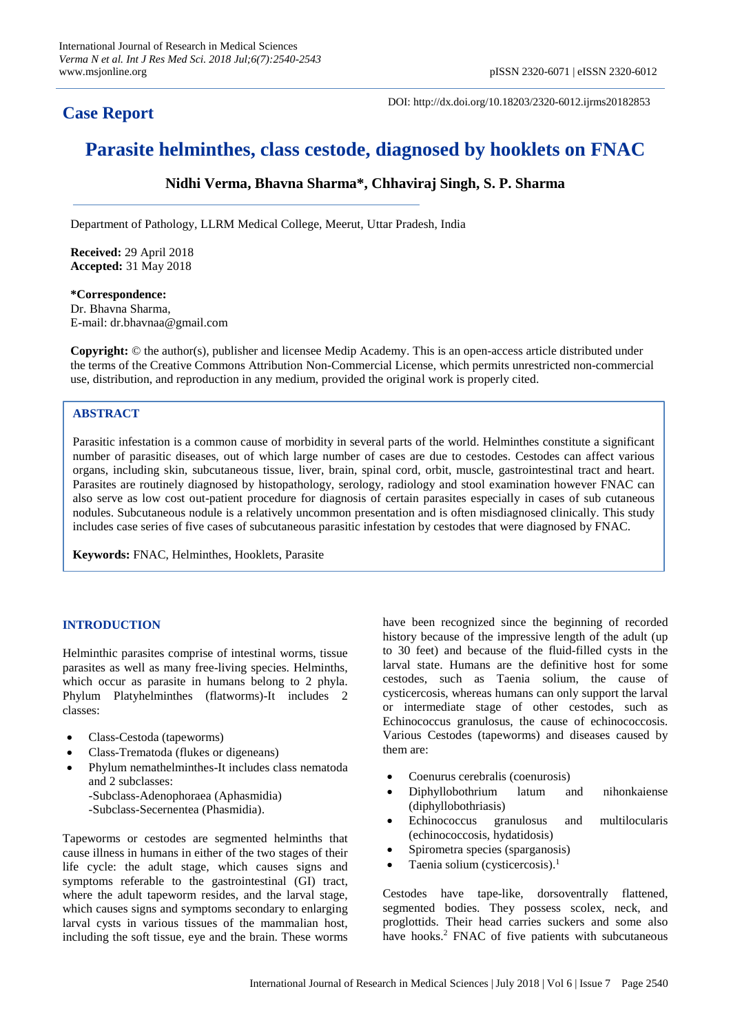# **Case Report**

DOI: http://dx.doi.org/10.18203/2320-6012.ijrms20182853

# **Parasite helminthes, class cestode, diagnosed by hooklets on FNAC**

# **Nidhi Verma, Bhavna Sharma\*, Chhaviraj Singh, S. P. Sharma**

Department of Pathology, LLRM Medical College, Meerut, Uttar Pradesh, India

**Received:** 29 April 2018 **Accepted:** 31 May 2018

**\*Correspondence:** Dr. Bhavna Sharma, E-mail: dr.bhavnaa@gmail.com

**Copyright:** © the author(s), publisher and licensee Medip Academy. This is an open-access article distributed under the terms of the Creative Commons Attribution Non-Commercial License, which permits unrestricted non-commercial use, distribution, and reproduction in any medium, provided the original work is properly cited.

# **ABSTRACT**

Parasitic infestation is a common cause of morbidity in several parts of the world. Helminthes constitute a significant number of parasitic diseases, out of which large number of cases are due to cestodes. Cestodes can affect various organs, including skin, subcutaneous tissue, liver, brain, spinal cord, orbit, muscle, gastrointestinal tract and heart. Parasites are routinely diagnosed by histopathology, serology, radiology and stool examination however FNAC can also serve as low cost out-patient procedure for diagnosis of certain parasites especially in cases of sub cutaneous nodules. Subcutaneous nodule is a relatively uncommon presentation and is often misdiagnosed clinically. This study includes case series of five cases of subcutaneous parasitic infestation by cestodes that were diagnosed by FNAC.

**Keywords:** FNAC, Helminthes, Hooklets, Parasite

# **INTRODUCTION**

Helminthic parasites comprise of intestinal worms, tissue parasites as well as many free-living species. Helminths, which occur as parasite in humans belong to 2 phyla. Phylum Platyhelminthes (flatworms)-It includes 2 classes:

- Class-Cestoda (tapeworms)
- Class-Trematoda (flukes or digeneans)
- Phylum nemathelminthes-It includes class nematoda and 2 subclasses:
	- -Subclass-Adenophoraea (Aphasmidia)
	- -Subclass-Secernentea (Phasmidia).

Tapeworms or cestodes are segmented helminths that cause illness in humans in either of the two stages of their life cycle: the adult stage, which causes signs and symptoms referable to the gastrointestinal (GI) tract, where the adult tapeworm resides, and the larval stage, which causes signs and symptoms secondary to enlarging larval cysts in various tissues of the mammalian host, including the soft tissue, eye and the brain. These worms have been recognized since the beginning of recorded history because of the impressive length of the adult (up to 30 feet) and because of the fluid-filled cysts in the larval state. Humans are the definitive host for some cestodes, such as Taenia solium, the cause of cysticercosis, whereas humans can only support the larval or intermediate stage of other cestodes, such as Echinococcus granulosus, the cause of echinococcosis. Various Cestodes (tapeworms) and diseases caused by them are:

- Coenurus cerebralis (coenurosis)
- Diphyllobothrium latum and nihonkaiense (diphyllobothriasis)
- Echinococcus granulosus and multilocularis (echinococcosis, hydatidosis)
- Spirometra species (sparganosis)
- Taenia solium (cysticercosis).<sup>1</sup>

Cestodes have tape-like, dorsoventrally flattened, segmented bodies. They possess scolex, neck, and proglottids. Their head carries suckers and some also have hooks.<sup>2</sup> FNAC of five patients with subcutaneous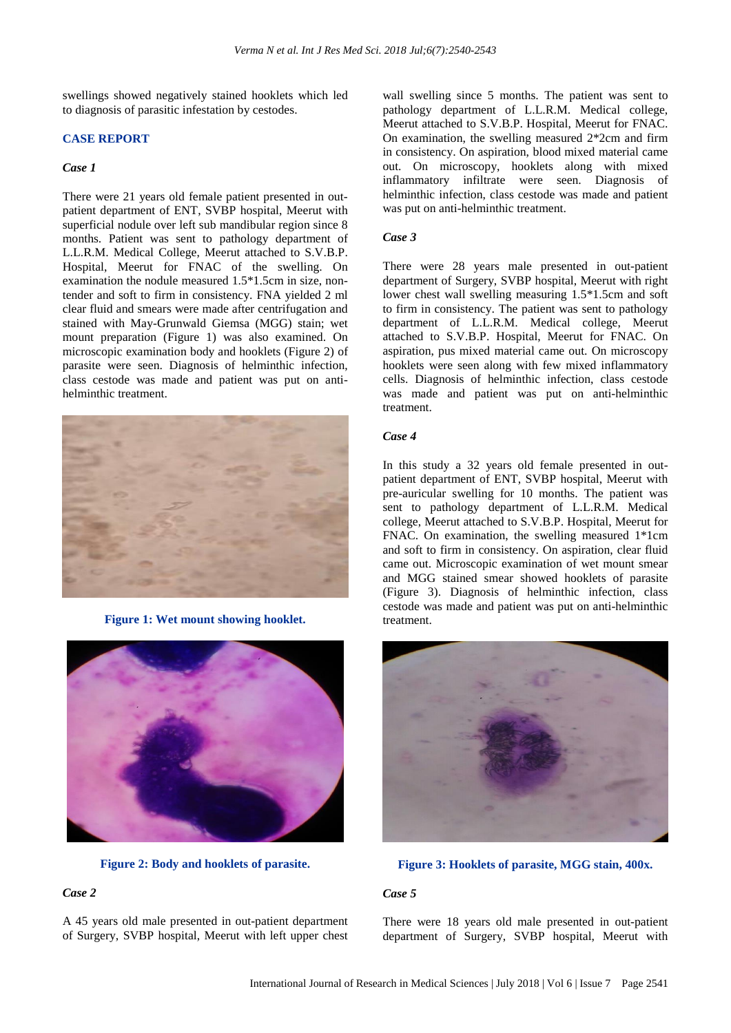swellings showed negatively stained hooklets which led to diagnosis of parasitic infestation by cestodes.

#### **CASE REPORT**

#### *Case 1*

There were 21 years old female patient presented in outpatient department of ENT, SVBP hospital, Meerut with superficial nodule over left sub mandibular region since 8 months. Patient was sent to pathology department of L.L.R.M. Medical College, Meerut attached to S.V.B.P. Hospital, Meerut for FNAC of the swelling. On examination the nodule measured 1.5\*1.5cm in size, nontender and soft to firm in consistency. FNA yielded 2 ml clear fluid and smears were made after centrifugation and stained with May-Grunwald Giemsa (MGG) stain; wet mount preparation (Figure 1) was also examined. On microscopic examination body and hooklets (Figure 2) of parasite were seen. Diagnosis of helminthic infection, class cestode was made and patient was put on antihelminthic treatment.



**Figure 1: Wet mount showing hooklet.**



**Figure 2: Body and hooklets of parasite.**

# *Case 2*

A 45 years old male presented in out-patient department of Surgery, SVBP hospital, Meerut with left upper chest wall swelling since 5 months. The patient was sent to pathology department of L.L.R.M. Medical college, Meerut attached to S.V.B.P. Hospital, Meerut for FNAC. On examination, the swelling measured 2\*2cm and firm in consistency. On aspiration, blood mixed material came out. On microscopy, hooklets along with mixed inflammatory infiltrate were seen. Diagnosis of helminthic infection, class cestode was made and patient was put on anti-helminthic treatment.

#### *Case 3*

There were 28 years male presented in out-patient department of Surgery, SVBP hospital, Meerut with right lower chest wall swelling measuring 1.5\*1.5cm and soft to firm in consistency. The patient was sent to pathology department of L.L.R.M. Medical college, Meerut attached to S.V.B.P. Hospital, Meerut for FNAC. On aspiration, pus mixed material came out. On microscopy hooklets were seen along with few mixed inflammatory cells. Diagnosis of helminthic infection, class cestode was made and patient was put on anti-helminthic treatment.

#### *Case 4*

In this study a 32 years old female presented in outpatient department of ENT, SVBP hospital, Meerut with pre-auricular swelling for 10 months. The patient was sent to pathology department of L.L.R.M. Medical college, Meerut attached to S.V.B.P. Hospital, Meerut for FNAC. On examination, the swelling measured 1\*1cm and soft to firm in consistency. On aspiration, clear fluid came out. Microscopic examination of wet mount smear and MGG stained smear showed hooklets of parasite (Figure 3). Diagnosis of helminthic infection, class cestode was made and patient was put on anti-helminthic treatment.



#### **Figure 3: Hooklets of parasite, MGG stain, 400x.**

#### *Case 5*

There were 18 years old male presented in out-patient department of Surgery, SVBP hospital, Meerut with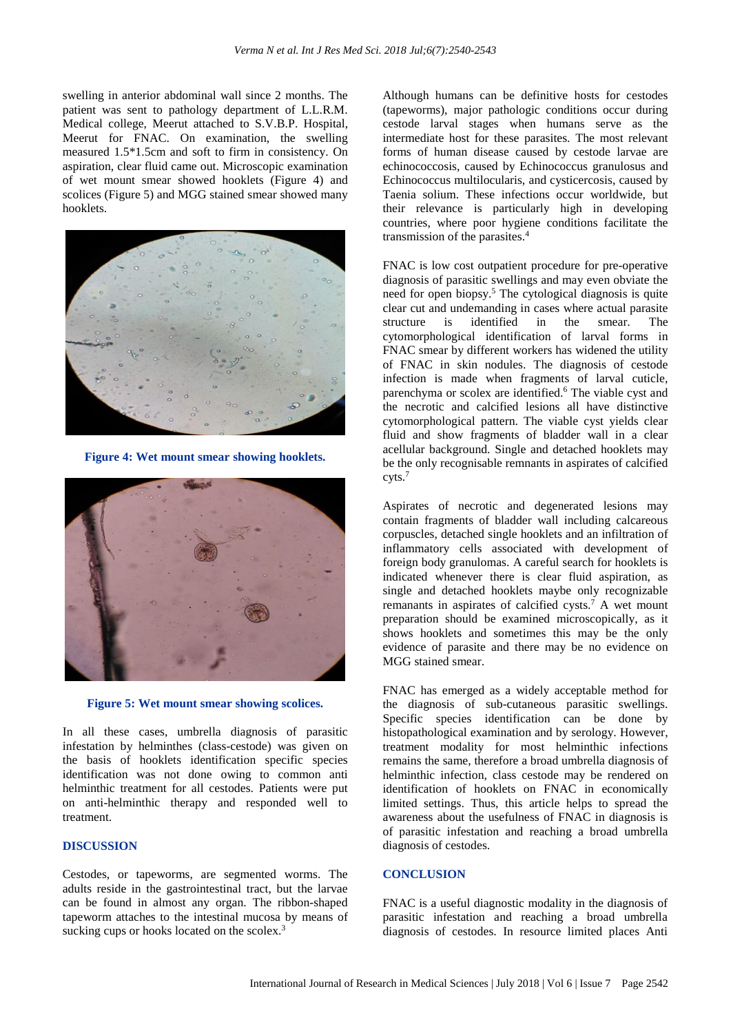swelling in anterior abdominal wall since 2 months. The patient was sent to pathology department of L.L.R.M. Medical college, Meerut attached to S.V.B.P. Hospital, Meerut for FNAC. On examination, the swelling measured 1.5\*1.5cm and soft to firm in consistency. On aspiration, clear fluid came out. Microscopic examination of wet mount smear showed hooklets (Figure 4) and scolices (Figure 5) and MGG stained smear showed many hooklets.



**Figure 4: Wet mount smear showing hooklets.**



**Figure 5: Wet mount smear showing scolices.**

In all these cases, umbrella diagnosis of parasitic infestation by helminthes (class-cestode) was given on the basis of hooklets identification specific species identification was not done owing to common anti helminthic treatment for all cestodes. Patients were put on anti-helminthic therapy and responded well to treatment.

# **DISCUSSION**

Cestodes, or tapeworms, are segmented worms. The adults reside in the gastrointestinal tract, but the larvae can be found in almost any organ. The ribbon-shaped tapeworm attaches to the intestinal mucosa by means of sucking cups or hooks located on the scolex.<sup>3</sup>

Although humans can be definitive hosts for cestodes (tapeworms), major pathologic conditions occur during cestode larval stages when humans serve as the intermediate host for these parasites. The most relevant forms of human disease caused by cestode larvae are echinococcosis, caused by Echinococcus granulosus and Echinococcus multilocularis, and cysticercosis, caused by Taenia solium. These infections occur worldwide, but their relevance is particularly high in developing countries, where poor hygiene conditions facilitate the transmission of the parasites.<sup>4</sup>

FNAC is low cost outpatient procedure for pre-operative diagnosis of parasitic swellings and may even obviate the need for open biopsy. <sup>5</sup> The cytological diagnosis is quite clear cut and undemanding in cases where actual parasite structure is identified in the smear. The cytomorphological identification of larval forms in FNAC smear by different workers has widened the utility of FNAC in skin nodules. The diagnosis of cestode infection is made when fragments of larval cuticle, parenchyma or scolex are identified. <sup>6</sup> The viable cyst and the necrotic and calcified lesions all have distinctive cytomorphological pattern. The viable cyst yields clear fluid and show fragments of bladder wall in a clear acellular background. Single and detached hooklets may be the only recognisable remnants in aspirates of calcified cyts. 7

Aspirates of necrotic and degenerated lesions may contain fragments of bladder wall including calcareous corpuscles, detached single hooklets and an infiltration of inflammatory cells associated with development of foreign body granulomas. A careful search for hooklets is indicated whenever there is clear fluid aspiration, as single and detached hooklets maybe only recognizable remanants in aspirates of calcified cysts. <sup>7</sup> A wet mount preparation should be examined microscopically, as it shows hooklets and sometimes this may be the only evidence of parasite and there may be no evidence on MGG stained smear.

FNAC has emerged as a widely acceptable method for the diagnosis of sub-cutaneous parasitic swellings. Specific species identification can be done by histopathological examination and by serology. However, treatment modality for most helminthic infections remains the same, therefore a broad umbrella diagnosis of helminthic infection, class cestode may be rendered on identification of hooklets on FNAC in economically limited settings. Thus, this article helps to spread the awareness about the usefulness of FNAC in diagnosis is of parasitic infestation and reaching a broad umbrella diagnosis of cestodes.

#### **CONCLUSION**

FNAC is a useful diagnostic modality in the diagnosis of parasitic infestation and reaching a broad umbrella diagnosis of cestodes. In resource limited places Anti